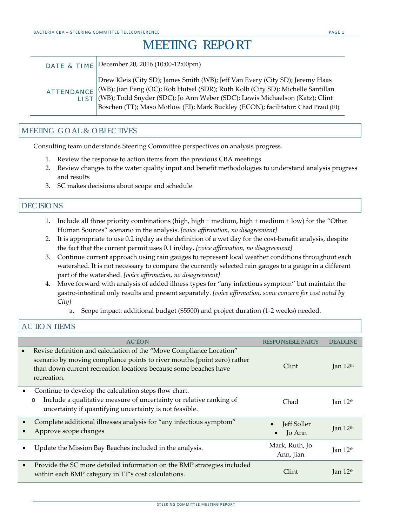## MEETING REPORT

| DATE & TIME | December 20, 2016 (10:00-12:00pm)                                                                                                                                                                                                                                                                                                                      |
|-------------|--------------------------------------------------------------------------------------------------------------------------------------------------------------------------------------------------------------------------------------------------------------------------------------------------------------------------------------------------------|
|             | Drew Kleis (City SD); James Smith (WB); Jeff Van Every (City SD); Jeremy Haas<br>ATTENDANCE   (WB); Jian Peng (OC); Rob Hutsel (SDR); Ruth Kolb (City SD); Michelle Santillan<br>LIST (WB); Todd Snyder (SDC); Jo Ann Weber (SDC); Lewis Michaelson (Katz); Clint<br>Boschen (TT); Maso Motlow (EI); Mark Buckley (ECON); facilitator: Chad Praul (EI) |

## MEETING G O AL& O BJEC TIVES

Consulting team understands Steering Committee perspectives on analysis progress.

- 1. Review the response to action items from the previous CBA meetings
- 2. Review changes to the water quality input and benefit methodologies to understand analysis progress and results
- 3. SC makes decisions about scope and schedule

## DEC ISIO NS

- 1. Include all three priority combinations (high, high + medium, high + medium + low) for the "Other Human Sources" scenario in the analysis. *[voice affirmation, no disagreement]*
- 2. It is appropriate to use 0.2 in/day as the definition of a wet day for the cost-benefit analysis, despite the fact that the current permit uses 0.1 in/day. *[voice affirmation, no disagreement]*
- 3. Continue current approach using rain gauges to represent local weather conditions throughout each watershed. It is not necessary to compare the currently selected rain gauges to a gauge in a different part of the watershed. *[voice affirmation, no disagreement]*
- 4. Move forward with analysis of added illness types for "any infectious symptom" but maintain the gastro-intestinal only results and present separately. *[voice affirmation, some concern for cost noted by City]*
	- a. Scope impact: additional budget (\$5500) and project duration (1-2 weeks) needed.

## AC TIO N ITEMS

|           | <b>ACTION</b>                                                                                                                                                                                                                      | <b>RESPONSIBLE PARTY</b>    | <b>DEADLINE</b>              |
|-----------|------------------------------------------------------------------------------------------------------------------------------------------------------------------------------------------------------------------------------------|-----------------------------|------------------------------|
| $\bullet$ | Revise definition and calculation of the "Move Compliance Location"<br>scenario by moving compliance points to river mouths (point zero) rather<br>than down current recreation locations because some beaches have<br>recreation. | Clint                       | Jan $12th$                   |
| $\bullet$ | Continue to develop the calculation steps flow chart.<br>Include a qualitative measure of uncertainty or relative ranking of<br>$\circ$<br>uncertainty if quantifying uncertainty is not feasible.                                 | Chad                        | Jan 12th                     |
|           | Complete additional illnesses analysis for "any infectious symptom"<br>Approve scope changes                                                                                                                                       | Jeff Soller<br>Jo Ann       | $\rm{I}$ an $12th$           |
|           | Update the Mission Bay Beaches included in the analysis.                                                                                                                                                                           | Mark, Ruth, Jo<br>Ann, Jian | Jan 12 <sup>th</sup>         |
| $\bullet$ | Provide the SC more detailed information on the BMP strategies included<br>within each BMP category in TT's cost calculations.                                                                                                     | Clint                       | $\rm{I}$ an 12 <sup>th</sup> |